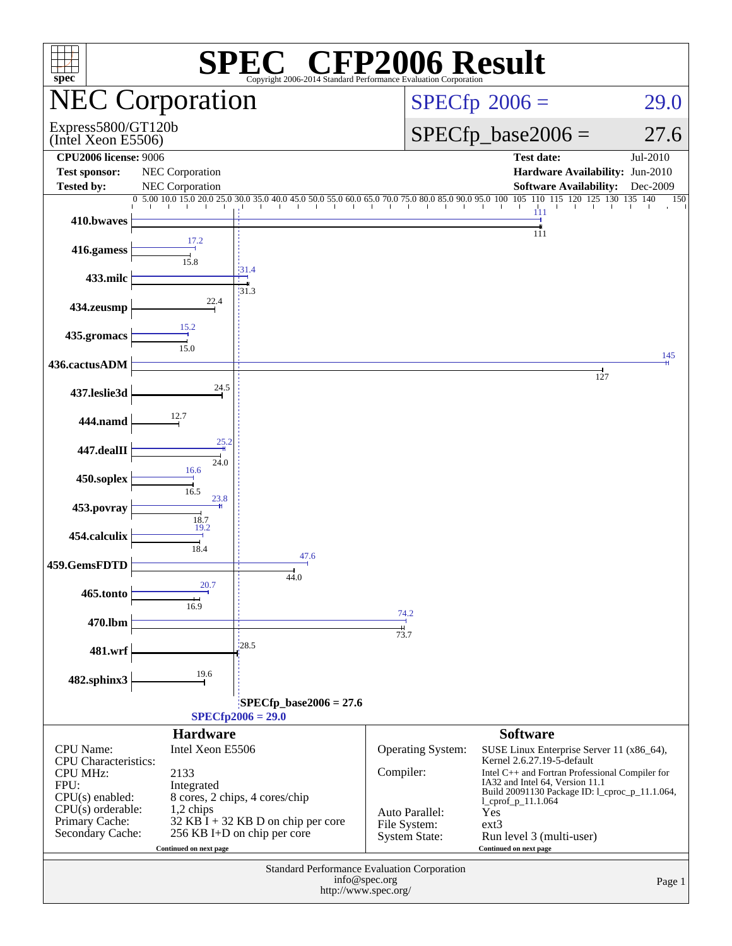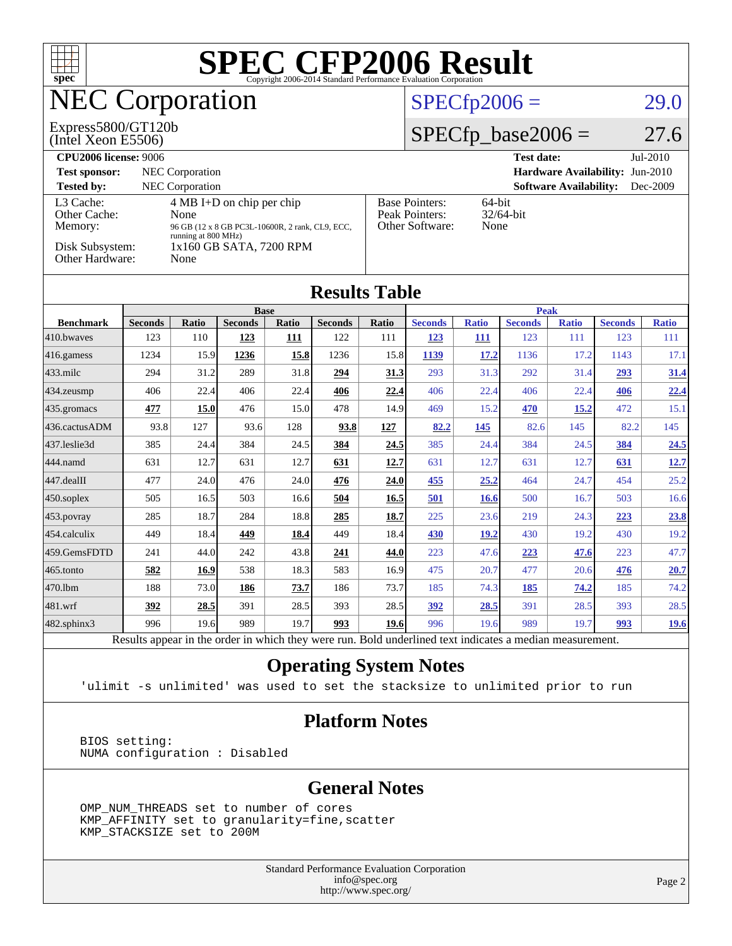| $spec^*$                                                                                                                                                                                                                                                                                                                              |                                                                                                          |       |                |                             |                |                      | $\textbf{SPE}_{\texttt{Copyright 2006-2014 Standard Performance Evaluation Corporation}} \textbf{Results}$ |                               |                                 |                      |                |              |
|---------------------------------------------------------------------------------------------------------------------------------------------------------------------------------------------------------------------------------------------------------------------------------------------------------------------------------------|----------------------------------------------------------------------------------------------------------|-------|----------------|-----------------------------|----------------|----------------------|------------------------------------------------------------------------------------------------------------|-------------------------------|---------------------------------|----------------------|----------------|--------------|
| <b>NEC Corporation</b>                                                                                                                                                                                                                                                                                                                |                                                                                                          |       |                |                             |                | $SPECfp2006 =$       |                                                                                                            |                               |                                 | 29.0                 |                |              |
| Express5800/GT120b<br>(Intel Xeon E5506)                                                                                                                                                                                                                                                                                              |                                                                                                          |       |                |                             |                | $SPECfp\_base2006 =$ |                                                                                                            |                               |                                 | 27.6                 |                |              |
| <b>CPU2006</b> license: 9006<br>NEC Corporation<br><b>Test sponsor:</b><br><b>Tested by:</b><br><b>NEC</b> Corporation                                                                                                                                                                                                                |                                                                                                          |       |                |                             |                |                      | <b>Test date:</b>                                                                                          | <b>Software Availability:</b> | Hardware Availability: Jun-2010 | Jul-2010<br>Dec-2009 |                |              |
| 4 MB I+D on chip per chip<br><b>Base Pointers:</b><br>64-bit<br>L <sub>3</sub> Cache:<br>Other Cache:<br>Peak Pointers:<br>32/64-bit<br>None<br>Other Software:<br>Memory:<br>None<br>96 GB (12 x 8 GB PC3L-10600R, 2 rank, CL9, ECC,<br>running at 800 MHz)<br>Disk Subsystem:<br>1x160 GB SATA, 7200 RPM<br>Other Hardware:<br>None |                                                                                                          |       |                |                             |                |                      |                                                                                                            |                               |                                 |                      |                |              |
| <b>Results Table</b>                                                                                                                                                                                                                                                                                                                  |                                                                                                          |       |                |                             |                |                      |                                                                                                            |                               |                                 |                      |                |              |
| <b>Benchmark</b>                                                                                                                                                                                                                                                                                                                      | <b>Seconds</b>                                                                                           | Ratio | <b>Seconds</b> | <b>Base</b><br><b>Ratio</b> | <b>Seconds</b> | Ratio                | <b>Seconds</b>                                                                                             | <b>Ratio</b>                  | <b>Peak</b><br><b>Seconds</b>   | <b>Ratio</b>         | <b>Seconds</b> | <b>Ratio</b> |
| 410.bwayes                                                                                                                                                                                                                                                                                                                            | 123                                                                                                      | 110   | 123            | 111                         | 122            | 111                  | 123                                                                                                        | 111                           | 123                             | 111                  | 123            | 111          |
| 416.gamess                                                                                                                                                                                                                                                                                                                            | 1234                                                                                                     | 15.9  | 1236           | 15.8                        | 1236           | 15.8                 | 1139                                                                                                       | 17.2                          | 1136                            | 17.2                 | 1143           | 17.1         |
| 433.milc                                                                                                                                                                                                                                                                                                                              | 294                                                                                                      | 31.2  | 289            | 31.8                        | 294            | 31.3                 | 293                                                                                                        | 31.3                          | 292                             | 31.4                 | 293            | 31.4         |
| 434.zeusmp                                                                                                                                                                                                                                                                                                                            | 406                                                                                                      | 22.4  | 406            | 22.4                        | 406            | 22.4                 | 406                                                                                                        | 22.4                          | 406                             | 22.4                 | 406            | <u>22.4</u>  |
| 435.gromacs                                                                                                                                                                                                                                                                                                                           | 477                                                                                                      | 15.0  | 476            | 15.0                        | 478            | 14.9                 | 469                                                                                                        | 15.2                          | 470                             | 15.2                 | 472            | 15.1         |
| 436.cactusADM                                                                                                                                                                                                                                                                                                                         | 93.8                                                                                                     | 127   | 93.6           | 128                         | 93.8           | 127                  | 82.2                                                                                                       | 145                           | 82.6                            | 145                  | 82.2           | 145          |
| 437.leslie3d                                                                                                                                                                                                                                                                                                                          | 385                                                                                                      | 24.4  | 384            | 24.5                        | 384            | 24.5                 | 385                                                                                                        | 24.4                          | 384                             | 24.5                 | 384            | 24.5         |
| 444.namd                                                                                                                                                                                                                                                                                                                              | 631                                                                                                      | 12.7  | 631            | 12.7                        | 631            | 12.7                 | 631                                                                                                        | 12.7                          | 631                             | 12.7                 | 631            | 12.7         |
| 447.dealII                                                                                                                                                                                                                                                                                                                            | 477                                                                                                      | 24.0  | 476            | 24.0                        | 476            | 24.0                 | 455                                                                                                        | 25.2                          | 464                             | 24.7                 | 454            | 25.2         |
| 450.soplex                                                                                                                                                                                                                                                                                                                            | 505                                                                                                      | 16.5  | 503            | 16.6                        | 504            | <b>16.5</b>          | 501                                                                                                        | <b>16.6</b>                   | 500                             | 16.7                 | 503            | 16.6         |
| 453.povray                                                                                                                                                                                                                                                                                                                            | 285                                                                                                      | 18.7  | 284            | 18.8                        | 285            | 18.7                 | 225                                                                                                        | 23.6                          | 219                             | 24.3                 | 223            | 23.8         |
| 454.calculix                                                                                                                                                                                                                                                                                                                          | 449                                                                                                      | 18.4  | 449            | 18.4                        | 449            | 18.4                 | 430                                                                                                        | 19.2                          | 430                             | 19.2                 | 430            | 19.2         |
| 459.GemsFDTD                                                                                                                                                                                                                                                                                                                          | 241                                                                                                      | 44.0  | 242            | 43.8                        | 241            | 44.0                 | 223                                                                                                        | 47.6                          | 223                             | 47.6                 | 223            | 47.7         |
| 465.tonto                                                                                                                                                                                                                                                                                                                             | 582                                                                                                      | 16.9  | 538            | 18.3                        | 583            | 16.9                 | 475                                                                                                        | 20.7                          | 477                             | 20.6                 | 476            | 20.7         |
| 470.1bm                                                                                                                                                                                                                                                                                                                               | 188                                                                                                      | 73.0  | 186            | <u>73.7</u>                 | 186            | 73.7                 | 185                                                                                                        | 74.3                          | 185                             | 74.2                 | 185            | 74.2         |
| 481.wrf                                                                                                                                                                                                                                                                                                                               | 392                                                                                                      | 28.5  | 391            | 28.5                        | 393            | 28.5                 | 392                                                                                                        | 28.5                          | 391                             | 28.5                 | 393            | 28.5         |
| 482.sphinx3                                                                                                                                                                                                                                                                                                                           | 996                                                                                                      | 19.6  | 989            | 19.7                        | 993            | 19.6                 | 996                                                                                                        | 19.6                          | 989                             | 19.7                 | 993            | 19.6         |
|                                                                                                                                                                                                                                                                                                                                       | Results appear in the order in which they were run. Bold underlined text indicates a median measurement. |       |                |                             |                |                      |                                                                                                            |                               |                                 |                      |                |              |

**[Operating System Notes](http://www.spec.org/auto/cpu2006/Docs/result-fields.html#OperatingSystemNotes)**

'ulimit -s unlimited' was used to set the stacksize to unlimited prior to run

#### **[Platform Notes](http://www.spec.org/auto/cpu2006/Docs/result-fields.html#PlatformNotes)**

 BIOS setting: NUMA configuration : Disabled

#### **[General Notes](http://www.spec.org/auto/cpu2006/Docs/result-fields.html#GeneralNotes)**

 OMP\_NUM\_THREADS set to number of cores KMP\_AFFINITY set to granularity=fine,scatter KMP\_STACKSIZE set to 200M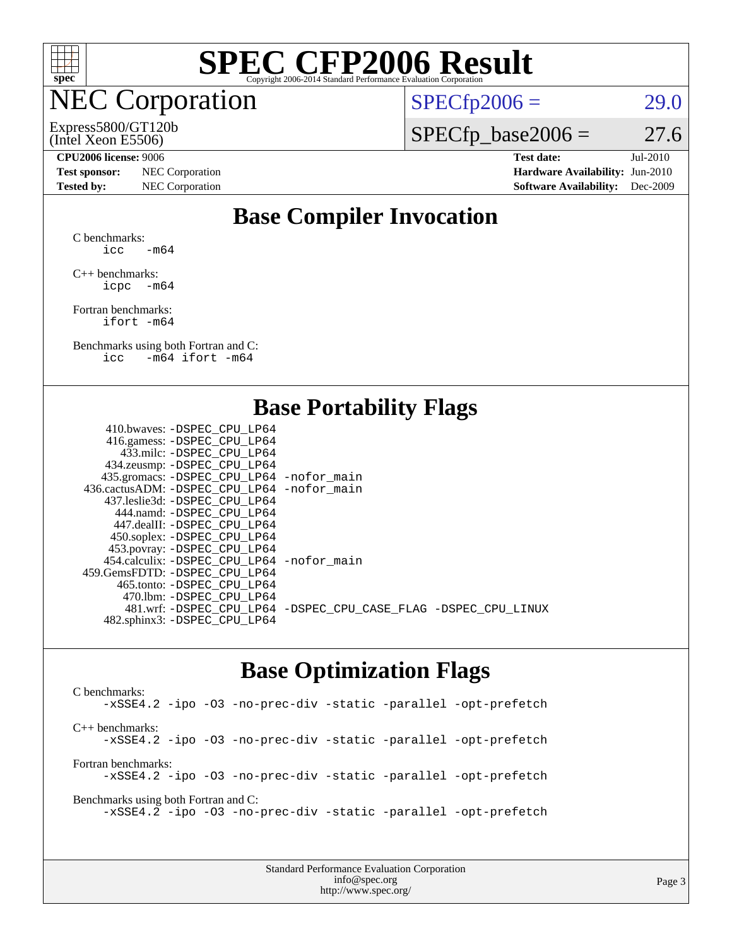

#### NEC Corporation

#### (Intel Xeon E5506) Express5800/GT120b

 $SPECTp2006 = 29.0$ 

 $SPECfp\_base2006 = 27.6$ 

**[Test sponsor:](http://www.spec.org/auto/cpu2006/Docs/result-fields.html#Testsponsor)** NEC Corporation **NEC Corporation [Hardware Availability:](http://www.spec.org/auto/cpu2006/Docs/result-fields.html#HardwareAvailability)** Jun-2010 **[Tested by:](http://www.spec.org/auto/cpu2006/Docs/result-fields.html#Testedby)** NEC Corporation **[Software Availability:](http://www.spec.org/auto/cpu2006/Docs/result-fields.html#SoftwareAvailability)** Dec-2009

**[CPU2006 license:](http://www.spec.org/auto/cpu2006/Docs/result-fields.html#CPU2006license)** 9006 **[Test date:](http://www.spec.org/auto/cpu2006/Docs/result-fields.html#Testdate)** Jul-2010

#### **[Base Compiler Invocation](http://www.spec.org/auto/cpu2006/Docs/result-fields.html#BaseCompilerInvocation)**

[C benchmarks](http://www.spec.org/auto/cpu2006/Docs/result-fields.html#Cbenchmarks):  $\text{icc}$  -m64

[C++ benchmarks:](http://www.spec.org/auto/cpu2006/Docs/result-fields.html#CXXbenchmarks) [icpc -m64](http://www.spec.org/cpu2006/results/res2010q3/cpu2006-20100729-12697.flags.html#user_CXXbase_intel_icpc_64bit_bedb90c1146cab66620883ef4f41a67e)

[Fortran benchmarks](http://www.spec.org/auto/cpu2006/Docs/result-fields.html#Fortranbenchmarks): [ifort -m64](http://www.spec.org/cpu2006/results/res2010q3/cpu2006-20100729-12697.flags.html#user_FCbase_intel_ifort_64bit_ee9d0fb25645d0210d97eb0527dcc06e)

[Benchmarks using both Fortran and C](http://www.spec.org/auto/cpu2006/Docs/result-fields.html#BenchmarksusingbothFortranandC): [icc -m64](http://www.spec.org/cpu2006/results/res2010q3/cpu2006-20100729-12697.flags.html#user_CC_FCbase_intel_icc_64bit_0b7121f5ab7cfabee23d88897260401c) [ifort -m64](http://www.spec.org/cpu2006/results/res2010q3/cpu2006-20100729-12697.flags.html#user_CC_FCbase_intel_ifort_64bit_ee9d0fb25645d0210d97eb0527dcc06e)

#### **[Base Portability Flags](http://www.spec.org/auto/cpu2006/Docs/result-fields.html#BasePortabilityFlags)**

| 410.bwaves: -DSPEC CPU LP64                |                                                                |
|--------------------------------------------|----------------------------------------------------------------|
| 416.gamess: -DSPEC_CPU_LP64                |                                                                |
| 433.milc: -DSPEC CPU LP64                  |                                                                |
| 434.zeusmp: -DSPEC_CPU_LP64                |                                                                |
| 435.gromacs: -DSPEC_CPU_LP64 -nofor_main   |                                                                |
| 436.cactusADM: -DSPEC CPU LP64 -nofor main |                                                                |
| 437.leslie3d: -DSPEC CPU LP64              |                                                                |
| 444.namd: - DSPEC CPU LP64                 |                                                                |
| 447.dealII: -DSPEC CPU LP64                |                                                                |
| 450.soplex: -DSPEC_CPU_LP64                |                                                                |
| 453.povray: -DSPEC_CPU_LP64                |                                                                |
| 454.calculix: -DSPEC CPU LP64 -nofor main  |                                                                |
| 459.GemsFDTD: -DSPEC CPU LP64              |                                                                |
| 465.tonto: - DSPEC_CPU LP64                |                                                                |
| 470.1bm: - DSPEC CPU LP64                  |                                                                |
|                                            | 481.wrf: -DSPEC_CPU_LP64 -DSPEC_CPU_CASE_FLAG -DSPEC_CPU_LINUX |
| 482.sphinx3: -DSPEC_CPU_LP64               |                                                                |
|                                            |                                                                |

#### **[Base Optimization Flags](http://www.spec.org/auto/cpu2006/Docs/result-fields.html#BaseOptimizationFlags)**

[C benchmarks](http://www.spec.org/auto/cpu2006/Docs/result-fields.html#Cbenchmarks): [-xSSE4.2](http://www.spec.org/cpu2006/results/res2010q3/cpu2006-20100729-12697.flags.html#user_CCbase_f-xSSE42_f91528193cf0b216347adb8b939d4107) [-ipo](http://www.spec.org/cpu2006/results/res2010q3/cpu2006-20100729-12697.flags.html#user_CCbase_f-ipo) [-O3](http://www.spec.org/cpu2006/results/res2010q3/cpu2006-20100729-12697.flags.html#user_CCbase_f-O3) [-no-prec-div](http://www.spec.org/cpu2006/results/res2010q3/cpu2006-20100729-12697.flags.html#user_CCbase_f-no-prec-div) [-static](http://www.spec.org/cpu2006/results/res2010q3/cpu2006-20100729-12697.flags.html#user_CCbase_f-static) [-parallel](http://www.spec.org/cpu2006/results/res2010q3/cpu2006-20100729-12697.flags.html#user_CCbase_f-parallel) [-opt-prefetch](http://www.spec.org/cpu2006/results/res2010q3/cpu2006-20100729-12697.flags.html#user_CCbase_f-opt-prefetch) [C++ benchmarks:](http://www.spec.org/auto/cpu2006/Docs/result-fields.html#CXXbenchmarks) [-xSSE4.2](http://www.spec.org/cpu2006/results/res2010q3/cpu2006-20100729-12697.flags.html#user_CXXbase_f-xSSE42_f91528193cf0b216347adb8b939d4107) [-ipo](http://www.spec.org/cpu2006/results/res2010q3/cpu2006-20100729-12697.flags.html#user_CXXbase_f-ipo) [-O3](http://www.spec.org/cpu2006/results/res2010q3/cpu2006-20100729-12697.flags.html#user_CXXbase_f-O3) [-no-prec-div](http://www.spec.org/cpu2006/results/res2010q3/cpu2006-20100729-12697.flags.html#user_CXXbase_f-no-prec-div) [-static](http://www.spec.org/cpu2006/results/res2010q3/cpu2006-20100729-12697.flags.html#user_CXXbase_f-static) [-parallel](http://www.spec.org/cpu2006/results/res2010q3/cpu2006-20100729-12697.flags.html#user_CXXbase_f-parallel) [-opt-prefetch](http://www.spec.org/cpu2006/results/res2010q3/cpu2006-20100729-12697.flags.html#user_CXXbase_f-opt-prefetch) [Fortran benchmarks](http://www.spec.org/auto/cpu2006/Docs/result-fields.html#Fortranbenchmarks): [-xSSE4.2](http://www.spec.org/cpu2006/results/res2010q3/cpu2006-20100729-12697.flags.html#user_FCbase_f-xSSE42_f91528193cf0b216347adb8b939d4107) [-ipo](http://www.spec.org/cpu2006/results/res2010q3/cpu2006-20100729-12697.flags.html#user_FCbase_f-ipo) [-O3](http://www.spec.org/cpu2006/results/res2010q3/cpu2006-20100729-12697.flags.html#user_FCbase_f-O3) [-no-prec-div](http://www.spec.org/cpu2006/results/res2010q3/cpu2006-20100729-12697.flags.html#user_FCbase_f-no-prec-div) [-static](http://www.spec.org/cpu2006/results/res2010q3/cpu2006-20100729-12697.flags.html#user_FCbase_f-static) [-parallel](http://www.spec.org/cpu2006/results/res2010q3/cpu2006-20100729-12697.flags.html#user_FCbase_f-parallel) [-opt-prefetch](http://www.spec.org/cpu2006/results/res2010q3/cpu2006-20100729-12697.flags.html#user_FCbase_f-opt-prefetch) [Benchmarks using both Fortran and C](http://www.spec.org/auto/cpu2006/Docs/result-fields.html#BenchmarksusingbothFortranandC): [-xSSE4.2](http://www.spec.org/cpu2006/results/res2010q3/cpu2006-20100729-12697.flags.html#user_CC_FCbase_f-xSSE42_f91528193cf0b216347adb8b939d4107) [-ipo](http://www.spec.org/cpu2006/results/res2010q3/cpu2006-20100729-12697.flags.html#user_CC_FCbase_f-ipo) [-O3](http://www.spec.org/cpu2006/results/res2010q3/cpu2006-20100729-12697.flags.html#user_CC_FCbase_f-O3) [-no-prec-div](http://www.spec.org/cpu2006/results/res2010q3/cpu2006-20100729-12697.flags.html#user_CC_FCbase_f-no-prec-div) [-static](http://www.spec.org/cpu2006/results/res2010q3/cpu2006-20100729-12697.flags.html#user_CC_FCbase_f-static) [-parallel](http://www.spec.org/cpu2006/results/res2010q3/cpu2006-20100729-12697.flags.html#user_CC_FCbase_f-parallel) [-opt-prefetch](http://www.spec.org/cpu2006/results/res2010q3/cpu2006-20100729-12697.flags.html#user_CC_FCbase_f-opt-prefetch)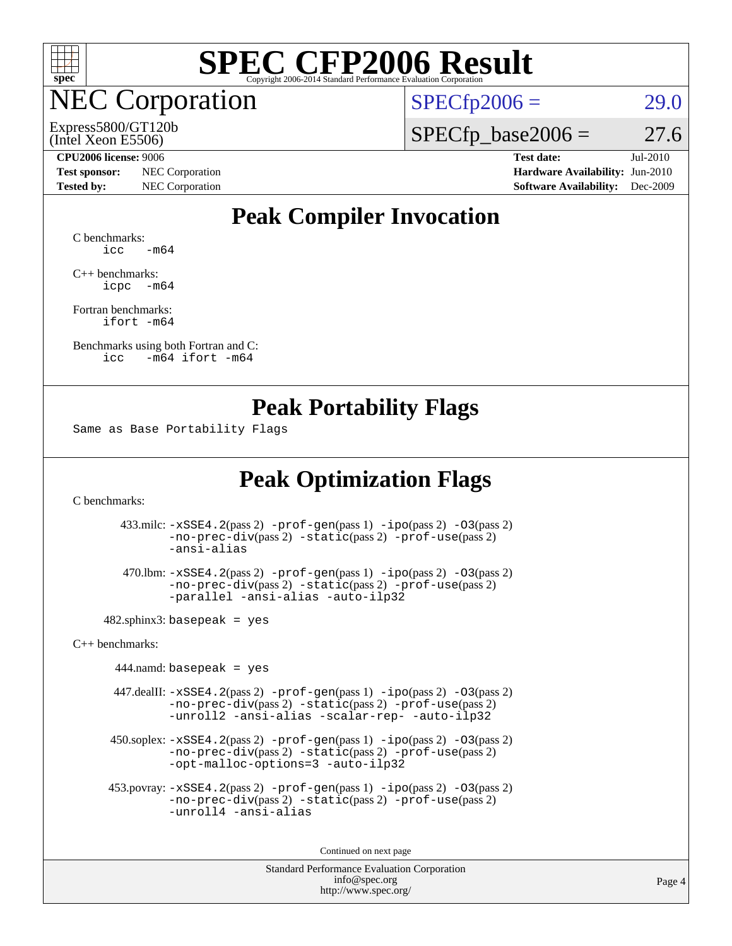

**EC Corporation** 

(Intel Xeon E5506) Express5800/GT120b  $SPECTp2006 = 29.0$ 

 $SPECTp\_base2006 = 27.6$ 

**[Test sponsor:](http://www.spec.org/auto/cpu2006/Docs/result-fields.html#Testsponsor)** NEC Corporation **[Hardware Availability:](http://www.spec.org/auto/cpu2006/Docs/result-fields.html#HardwareAvailability)** Jun-2010

**[CPU2006 license:](http://www.spec.org/auto/cpu2006/Docs/result-fields.html#CPU2006license)** 9006 **[Test date:](http://www.spec.org/auto/cpu2006/Docs/result-fields.html#Testdate)** Jul-2010 **[Tested by:](http://www.spec.org/auto/cpu2006/Docs/result-fields.html#Testedby)** NEC Corporation **[Software Availability:](http://www.spec.org/auto/cpu2006/Docs/result-fields.html#SoftwareAvailability)** Dec-2009

#### **[Peak Compiler Invocation](http://www.spec.org/auto/cpu2006/Docs/result-fields.html#PeakCompilerInvocation)**

[C benchmarks](http://www.spec.org/auto/cpu2006/Docs/result-fields.html#Cbenchmarks):  $\text{icc}$   $-\text{m64}$ 

[C++ benchmarks:](http://www.spec.org/auto/cpu2006/Docs/result-fields.html#CXXbenchmarks) [icpc -m64](http://www.spec.org/cpu2006/results/res2010q3/cpu2006-20100729-12697.flags.html#user_CXXpeak_intel_icpc_64bit_bedb90c1146cab66620883ef4f41a67e)

[Fortran benchmarks](http://www.spec.org/auto/cpu2006/Docs/result-fields.html#Fortranbenchmarks): [ifort -m64](http://www.spec.org/cpu2006/results/res2010q3/cpu2006-20100729-12697.flags.html#user_FCpeak_intel_ifort_64bit_ee9d0fb25645d0210d97eb0527dcc06e)

[Benchmarks using both Fortran and C](http://www.spec.org/auto/cpu2006/Docs/result-fields.html#BenchmarksusingbothFortranandC): [icc -m64](http://www.spec.org/cpu2006/results/res2010q3/cpu2006-20100729-12697.flags.html#user_CC_FCpeak_intel_icc_64bit_0b7121f5ab7cfabee23d88897260401c) [ifort -m64](http://www.spec.org/cpu2006/results/res2010q3/cpu2006-20100729-12697.flags.html#user_CC_FCpeak_intel_ifort_64bit_ee9d0fb25645d0210d97eb0527dcc06e)

#### **[Peak Portability Flags](http://www.spec.org/auto/cpu2006/Docs/result-fields.html#PeakPortabilityFlags)**

Same as Base Portability Flags

### **[Peak Optimization Flags](http://www.spec.org/auto/cpu2006/Docs/result-fields.html#PeakOptimizationFlags)**

[C benchmarks](http://www.spec.org/auto/cpu2006/Docs/result-fields.html#Cbenchmarks):

 433.milc: [-xSSE4.2](http://www.spec.org/cpu2006/results/res2010q3/cpu2006-20100729-12697.flags.html#user_peakPASS2_CFLAGSPASS2_LDFLAGS433_milc_f-xSSE42_f91528193cf0b216347adb8b939d4107)(pass 2) [-prof-gen](http://www.spec.org/cpu2006/results/res2010q3/cpu2006-20100729-12697.flags.html#user_peakPASS1_CFLAGSPASS1_LDFLAGS433_milc_prof_gen_e43856698f6ca7b7e442dfd80e94a8fc)(pass 1) [-ipo](http://www.spec.org/cpu2006/results/res2010q3/cpu2006-20100729-12697.flags.html#user_peakPASS2_CFLAGSPASS2_LDFLAGS433_milc_f-ipo)(pass 2) [-O3](http://www.spec.org/cpu2006/results/res2010q3/cpu2006-20100729-12697.flags.html#user_peakPASS2_CFLAGSPASS2_LDFLAGS433_milc_f-O3)(pass 2) [-no-prec-div](http://www.spec.org/cpu2006/results/res2010q3/cpu2006-20100729-12697.flags.html#user_peakPASS2_CFLAGSPASS2_LDFLAGS433_milc_f-no-prec-div)(pass 2) [-static](http://www.spec.org/cpu2006/results/res2010q3/cpu2006-20100729-12697.flags.html#user_peakPASS2_CFLAGSPASS2_LDFLAGS433_milc_f-static)(pass 2) [-prof-use](http://www.spec.org/cpu2006/results/res2010q3/cpu2006-20100729-12697.flags.html#user_peakPASS2_CFLAGSPASS2_LDFLAGS433_milc_prof_use_bccf7792157ff70d64e32fe3e1250b55)(pass 2) [-ansi-alias](http://www.spec.org/cpu2006/results/res2010q3/cpu2006-20100729-12697.flags.html#user_peakOPTIMIZE433_milc_f-ansi-alias)

 470.lbm: [-xSSE4.2](http://www.spec.org/cpu2006/results/res2010q3/cpu2006-20100729-12697.flags.html#user_peakPASS2_CFLAGSPASS2_LDFLAGS470_lbm_f-xSSE42_f91528193cf0b216347adb8b939d4107)(pass 2) [-prof-gen](http://www.spec.org/cpu2006/results/res2010q3/cpu2006-20100729-12697.flags.html#user_peakPASS1_CFLAGSPASS1_LDFLAGS470_lbm_prof_gen_e43856698f6ca7b7e442dfd80e94a8fc)(pass 1) [-ipo](http://www.spec.org/cpu2006/results/res2010q3/cpu2006-20100729-12697.flags.html#user_peakPASS2_CFLAGSPASS2_LDFLAGS470_lbm_f-ipo)(pass 2) [-O3](http://www.spec.org/cpu2006/results/res2010q3/cpu2006-20100729-12697.flags.html#user_peakPASS2_CFLAGSPASS2_LDFLAGS470_lbm_f-O3)(pass 2) [-no-prec-div](http://www.spec.org/cpu2006/results/res2010q3/cpu2006-20100729-12697.flags.html#user_peakPASS2_CFLAGSPASS2_LDFLAGS470_lbm_f-no-prec-div)(pass 2) [-static](http://www.spec.org/cpu2006/results/res2010q3/cpu2006-20100729-12697.flags.html#user_peakPASS2_CFLAGSPASS2_LDFLAGS470_lbm_f-static)(pass 2) [-prof-use](http://www.spec.org/cpu2006/results/res2010q3/cpu2006-20100729-12697.flags.html#user_peakPASS2_CFLAGSPASS2_LDFLAGS470_lbm_prof_use_bccf7792157ff70d64e32fe3e1250b55)(pass 2) [-parallel](http://www.spec.org/cpu2006/results/res2010q3/cpu2006-20100729-12697.flags.html#user_peakOPTIMIZE470_lbm_f-parallel) [-ansi-alias](http://www.spec.org/cpu2006/results/res2010q3/cpu2006-20100729-12697.flags.html#user_peakOPTIMIZE470_lbm_f-ansi-alias) [-auto-ilp32](http://www.spec.org/cpu2006/results/res2010q3/cpu2006-20100729-12697.flags.html#user_peakCOPTIMIZE470_lbm_f-auto-ilp32)

 $482$ .sphinx3: basepeak = yes

[C++ benchmarks:](http://www.spec.org/auto/cpu2006/Docs/result-fields.html#CXXbenchmarks)

 $444$ .namd: basepeak = yes

 447.dealII: [-xSSE4.2](http://www.spec.org/cpu2006/results/res2010q3/cpu2006-20100729-12697.flags.html#user_peakPASS2_CXXFLAGSPASS2_LDFLAGS447_dealII_f-xSSE42_f91528193cf0b216347adb8b939d4107)(pass 2) [-prof-gen](http://www.spec.org/cpu2006/results/res2010q3/cpu2006-20100729-12697.flags.html#user_peakPASS1_CXXFLAGSPASS1_LDFLAGS447_dealII_prof_gen_e43856698f6ca7b7e442dfd80e94a8fc)(pass 1) [-ipo](http://www.spec.org/cpu2006/results/res2010q3/cpu2006-20100729-12697.flags.html#user_peakPASS2_CXXFLAGSPASS2_LDFLAGS447_dealII_f-ipo)(pass 2) [-O3](http://www.spec.org/cpu2006/results/res2010q3/cpu2006-20100729-12697.flags.html#user_peakPASS2_CXXFLAGSPASS2_LDFLAGS447_dealII_f-O3)(pass 2) [-no-prec-div](http://www.spec.org/cpu2006/results/res2010q3/cpu2006-20100729-12697.flags.html#user_peakPASS2_CXXFLAGSPASS2_LDFLAGS447_dealII_f-no-prec-div)(pass 2) [-static](http://www.spec.org/cpu2006/results/res2010q3/cpu2006-20100729-12697.flags.html#user_peakPASS2_CXXFLAGSPASS2_LDFLAGS447_dealII_f-static)(pass 2) [-prof-use](http://www.spec.org/cpu2006/results/res2010q3/cpu2006-20100729-12697.flags.html#user_peakPASS2_CXXFLAGSPASS2_LDFLAGS447_dealII_prof_use_bccf7792157ff70d64e32fe3e1250b55)(pass 2) [-unroll2](http://www.spec.org/cpu2006/results/res2010q3/cpu2006-20100729-12697.flags.html#user_peakOPTIMIZE447_dealII_f-unroll_784dae83bebfb236979b41d2422d7ec2) [-ansi-alias](http://www.spec.org/cpu2006/results/res2010q3/cpu2006-20100729-12697.flags.html#user_peakOPTIMIZE447_dealII_f-ansi-alias) [-scalar-rep-](http://www.spec.org/cpu2006/results/res2010q3/cpu2006-20100729-12697.flags.html#user_peakOPTIMIZE447_dealII_f-disablescalarrep_abbcad04450fb118e4809c81d83c8a1d) [-auto-ilp32](http://www.spec.org/cpu2006/results/res2010q3/cpu2006-20100729-12697.flags.html#user_peakCXXOPTIMIZE447_dealII_f-auto-ilp32)

 $450.\text{soplex: } -x\text{SSE4}.2(\text{pass 2}) -\text{prof-gen}(\text{pass 1}) -\text{ipo}(\text{pass 2}) -\text{O3}(\text{pass 2})$ [-no-prec-div](http://www.spec.org/cpu2006/results/res2010q3/cpu2006-20100729-12697.flags.html#user_peakPASS2_CXXFLAGSPASS2_LDFLAGS450_soplex_f-no-prec-div)(pass 2) [-static](http://www.spec.org/cpu2006/results/res2010q3/cpu2006-20100729-12697.flags.html#user_peakPASS2_CXXFLAGSPASS2_LDFLAGS450_soplex_f-static)(pass 2) [-prof-use](http://www.spec.org/cpu2006/results/res2010q3/cpu2006-20100729-12697.flags.html#user_peakPASS2_CXXFLAGSPASS2_LDFLAGS450_soplex_prof_use_bccf7792157ff70d64e32fe3e1250b55)(pass 2) [-opt-malloc-options=3](http://www.spec.org/cpu2006/results/res2010q3/cpu2006-20100729-12697.flags.html#user_peakOPTIMIZE450_soplex_f-opt-malloc-options_13ab9b803cf986b4ee62f0a5998c2238) [-auto-ilp32](http://www.spec.org/cpu2006/results/res2010q3/cpu2006-20100729-12697.flags.html#user_peakCXXOPTIMIZE450_soplex_f-auto-ilp32)

 453.povray: [-xSSE4.2](http://www.spec.org/cpu2006/results/res2010q3/cpu2006-20100729-12697.flags.html#user_peakPASS2_CXXFLAGSPASS2_LDFLAGS453_povray_f-xSSE42_f91528193cf0b216347adb8b939d4107)(pass 2) [-prof-gen](http://www.spec.org/cpu2006/results/res2010q3/cpu2006-20100729-12697.flags.html#user_peakPASS1_CXXFLAGSPASS1_LDFLAGS453_povray_prof_gen_e43856698f6ca7b7e442dfd80e94a8fc)(pass 1) [-ipo](http://www.spec.org/cpu2006/results/res2010q3/cpu2006-20100729-12697.flags.html#user_peakPASS2_CXXFLAGSPASS2_LDFLAGS453_povray_f-ipo)(pass 2) [-O3](http://www.spec.org/cpu2006/results/res2010q3/cpu2006-20100729-12697.flags.html#user_peakPASS2_CXXFLAGSPASS2_LDFLAGS453_povray_f-O3)(pass 2) [-no-prec-div](http://www.spec.org/cpu2006/results/res2010q3/cpu2006-20100729-12697.flags.html#user_peakPASS2_CXXFLAGSPASS2_LDFLAGS453_povray_f-no-prec-div)(pass 2) [-static](http://www.spec.org/cpu2006/results/res2010q3/cpu2006-20100729-12697.flags.html#user_peakPASS2_CXXFLAGSPASS2_LDFLAGS453_povray_f-static)(pass 2) [-prof-use](http://www.spec.org/cpu2006/results/res2010q3/cpu2006-20100729-12697.flags.html#user_peakPASS2_CXXFLAGSPASS2_LDFLAGS453_povray_prof_use_bccf7792157ff70d64e32fe3e1250b55)(pass 2) [-unroll4](http://www.spec.org/cpu2006/results/res2010q3/cpu2006-20100729-12697.flags.html#user_peakCXXOPTIMIZE453_povray_f-unroll_4e5e4ed65b7fd20bdcd365bec371b81f) [-ansi-alias](http://www.spec.org/cpu2006/results/res2010q3/cpu2006-20100729-12697.flags.html#user_peakCXXOPTIMIZE453_povray_f-ansi-alias)

Continued on next page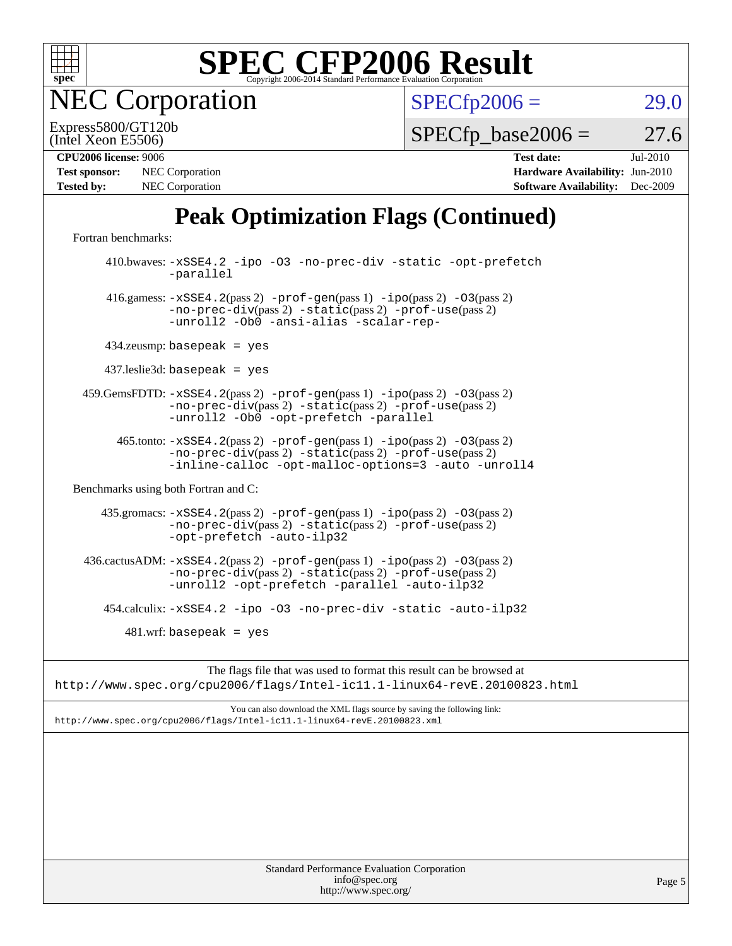

**EC Corporation** 

 $SPECfp2006 = 29.0$  $SPECfp2006 = 29.0$ 

(Intel Xeon E5506) Express5800/GT120b

 $SPECTp\_base2006 = 27.6$ 

| <b>Test sponsor:</b> | NEC Corporation |
|----------------------|-----------------|
| <b>Tested by:</b>    | NEC Corporation |

**[CPU2006 license:](http://www.spec.org/auto/cpu2006/Docs/result-fields.html#CPU2006license)** 9006 **[Test date:](http://www.spec.org/auto/cpu2006/Docs/result-fields.html#Testdate)** Jul-2010 **[Hardware Availability:](http://www.spec.org/auto/cpu2006/Docs/result-fields.html#HardwareAvailability)** Jun-2010 **[Software Availability:](http://www.spec.org/auto/cpu2006/Docs/result-fields.html#SoftwareAvailability)** Dec-2009

## **[Peak Optimization Flags \(Continued\)](http://www.spec.org/auto/cpu2006/Docs/result-fields.html#PeakOptimizationFlags)**

[Fortran benchmarks](http://www.spec.org/auto/cpu2006/Docs/result-fields.html#Fortranbenchmarks):

 410.bwaves: [-xSSE4.2](http://www.spec.org/cpu2006/results/res2010q3/cpu2006-20100729-12697.flags.html#user_peakOPTIMIZE410_bwaves_f-xSSE42_f91528193cf0b216347adb8b939d4107) [-ipo](http://www.spec.org/cpu2006/results/res2010q3/cpu2006-20100729-12697.flags.html#user_peakOPTIMIZE410_bwaves_f-ipo) [-O3](http://www.spec.org/cpu2006/results/res2010q3/cpu2006-20100729-12697.flags.html#user_peakOPTIMIZE410_bwaves_f-O3) [-no-prec-div](http://www.spec.org/cpu2006/results/res2010q3/cpu2006-20100729-12697.flags.html#user_peakOPTIMIZE410_bwaves_f-no-prec-div) [-static](http://www.spec.org/cpu2006/results/res2010q3/cpu2006-20100729-12697.flags.html#user_peakOPTIMIZE410_bwaves_f-static) [-opt-prefetch](http://www.spec.org/cpu2006/results/res2010q3/cpu2006-20100729-12697.flags.html#user_peakOPTIMIZE410_bwaves_f-opt-prefetch) [-parallel](http://www.spec.org/cpu2006/results/res2010q3/cpu2006-20100729-12697.flags.html#user_peakOPTIMIZE410_bwaves_f-parallel) 416.gamess: [-xSSE4.2](http://www.spec.org/cpu2006/results/res2010q3/cpu2006-20100729-12697.flags.html#user_peakPASS2_FFLAGSPASS2_LDFLAGS416_gamess_f-xSSE42_f91528193cf0b216347adb8b939d4107)(pass 2) [-prof-gen](http://www.spec.org/cpu2006/results/res2010q3/cpu2006-20100729-12697.flags.html#user_peakPASS1_FFLAGSPASS1_LDFLAGS416_gamess_prof_gen_e43856698f6ca7b7e442dfd80e94a8fc)(pass 1) [-ipo](http://www.spec.org/cpu2006/results/res2010q3/cpu2006-20100729-12697.flags.html#user_peakPASS2_FFLAGSPASS2_LDFLAGS416_gamess_f-ipo)(pass 2) [-O3](http://www.spec.org/cpu2006/results/res2010q3/cpu2006-20100729-12697.flags.html#user_peakPASS2_FFLAGSPASS2_LDFLAGS416_gamess_f-O3)(pass 2) [-no-prec-div](http://www.spec.org/cpu2006/results/res2010q3/cpu2006-20100729-12697.flags.html#user_peakPASS2_FFLAGSPASS2_LDFLAGS416_gamess_f-no-prec-div)(pass 2) [-static](http://www.spec.org/cpu2006/results/res2010q3/cpu2006-20100729-12697.flags.html#user_peakPASS2_FFLAGSPASS2_LDFLAGS416_gamess_f-static)(pass 2) [-prof-use](http://www.spec.org/cpu2006/results/res2010q3/cpu2006-20100729-12697.flags.html#user_peakPASS2_FFLAGSPASS2_LDFLAGS416_gamess_prof_use_bccf7792157ff70d64e32fe3e1250b55)(pass 2) [-unroll2](http://www.spec.org/cpu2006/results/res2010q3/cpu2006-20100729-12697.flags.html#user_peakOPTIMIZE416_gamess_f-unroll_784dae83bebfb236979b41d2422d7ec2) [-Ob0](http://www.spec.org/cpu2006/results/res2010q3/cpu2006-20100729-12697.flags.html#user_peakOPTIMIZE416_gamess_f-Ob_n_fbe6f6428adb7d4b74b1e99bb2444c2d) [-ansi-alias](http://www.spec.org/cpu2006/results/res2010q3/cpu2006-20100729-12697.flags.html#user_peakOPTIMIZE416_gamess_f-ansi-alias) [-scalar-rep-](http://www.spec.org/cpu2006/results/res2010q3/cpu2006-20100729-12697.flags.html#user_peakOPTIMIZE416_gamess_f-disablescalarrep_abbcad04450fb118e4809c81d83c8a1d) 434.zeusmp: basepeak = yes 437.leslie3d: basepeak = yes 459.GemsFDTD: [-xSSE4.2](http://www.spec.org/cpu2006/results/res2010q3/cpu2006-20100729-12697.flags.html#user_peakPASS2_FFLAGSPASS2_LDFLAGS459_GemsFDTD_f-xSSE42_f91528193cf0b216347adb8b939d4107)(pass 2) [-prof-gen](http://www.spec.org/cpu2006/results/res2010q3/cpu2006-20100729-12697.flags.html#user_peakPASS1_FFLAGSPASS1_LDFLAGS459_GemsFDTD_prof_gen_e43856698f6ca7b7e442dfd80e94a8fc)(pass 1) [-ipo](http://www.spec.org/cpu2006/results/res2010q3/cpu2006-20100729-12697.flags.html#user_peakPASS2_FFLAGSPASS2_LDFLAGS459_GemsFDTD_f-ipo)(pass 2) [-O3](http://www.spec.org/cpu2006/results/res2010q3/cpu2006-20100729-12697.flags.html#user_peakPASS2_FFLAGSPASS2_LDFLAGS459_GemsFDTD_f-O3)(pass 2) [-no-prec-div](http://www.spec.org/cpu2006/results/res2010q3/cpu2006-20100729-12697.flags.html#user_peakPASS2_FFLAGSPASS2_LDFLAGS459_GemsFDTD_f-no-prec-div)(pass 2) [-static](http://www.spec.org/cpu2006/results/res2010q3/cpu2006-20100729-12697.flags.html#user_peakPASS2_FFLAGSPASS2_LDFLAGS459_GemsFDTD_f-static)(pass 2) [-prof-use](http://www.spec.org/cpu2006/results/res2010q3/cpu2006-20100729-12697.flags.html#user_peakPASS2_FFLAGSPASS2_LDFLAGS459_GemsFDTD_prof_use_bccf7792157ff70d64e32fe3e1250b55)(pass 2) [-unroll2](http://www.spec.org/cpu2006/results/res2010q3/cpu2006-20100729-12697.flags.html#user_peakOPTIMIZE459_GemsFDTD_f-unroll_784dae83bebfb236979b41d2422d7ec2) [-Ob0](http://www.spec.org/cpu2006/results/res2010q3/cpu2006-20100729-12697.flags.html#user_peakOPTIMIZE459_GemsFDTD_f-Ob_n_fbe6f6428adb7d4b74b1e99bb2444c2d) [-opt-prefetch](http://www.spec.org/cpu2006/results/res2010q3/cpu2006-20100729-12697.flags.html#user_peakOPTIMIZE459_GemsFDTD_f-opt-prefetch) [-parallel](http://www.spec.org/cpu2006/results/res2010q3/cpu2006-20100729-12697.flags.html#user_peakOPTIMIZE459_GemsFDTD_f-parallel) 465.tonto: [-xSSE4.2](http://www.spec.org/cpu2006/results/res2010q3/cpu2006-20100729-12697.flags.html#user_peakPASS2_FFLAGSPASS2_LDFLAGS465_tonto_f-xSSE42_f91528193cf0b216347adb8b939d4107)(pass 2) [-prof-gen](http://www.spec.org/cpu2006/results/res2010q3/cpu2006-20100729-12697.flags.html#user_peakPASS1_FFLAGSPASS1_LDFLAGS465_tonto_prof_gen_e43856698f6ca7b7e442dfd80e94a8fc)(pass 1) [-ipo](http://www.spec.org/cpu2006/results/res2010q3/cpu2006-20100729-12697.flags.html#user_peakPASS2_FFLAGSPASS2_LDFLAGS465_tonto_f-ipo)(pass 2) [-O3](http://www.spec.org/cpu2006/results/res2010q3/cpu2006-20100729-12697.flags.html#user_peakPASS2_FFLAGSPASS2_LDFLAGS465_tonto_f-O3)(pass 2) [-no-prec-div](http://www.spec.org/cpu2006/results/res2010q3/cpu2006-20100729-12697.flags.html#user_peakPASS2_FFLAGSPASS2_LDFLAGS465_tonto_f-no-prec-div)(pass 2) [-static](http://www.spec.org/cpu2006/results/res2010q3/cpu2006-20100729-12697.flags.html#user_peakPASS2_FFLAGSPASS2_LDFLAGS465_tonto_f-static)(pass 2) [-prof-use](http://www.spec.org/cpu2006/results/res2010q3/cpu2006-20100729-12697.flags.html#user_peakPASS2_FFLAGSPASS2_LDFLAGS465_tonto_prof_use_bccf7792157ff70d64e32fe3e1250b55)(pass 2) [-inline-calloc](http://www.spec.org/cpu2006/results/res2010q3/cpu2006-20100729-12697.flags.html#user_peakOPTIMIZE465_tonto_f-inline-calloc) [-opt-malloc-options=3](http://www.spec.org/cpu2006/results/res2010q3/cpu2006-20100729-12697.flags.html#user_peakOPTIMIZE465_tonto_f-opt-malloc-options_13ab9b803cf986b4ee62f0a5998c2238) [-auto](http://www.spec.org/cpu2006/results/res2010q3/cpu2006-20100729-12697.flags.html#user_peakOPTIMIZE465_tonto_f-auto) [-unroll4](http://www.spec.org/cpu2006/results/res2010q3/cpu2006-20100729-12697.flags.html#user_peakOPTIMIZE465_tonto_f-unroll_4e5e4ed65b7fd20bdcd365bec371b81f) [Benchmarks using both Fortran and C](http://www.spec.org/auto/cpu2006/Docs/result-fields.html#BenchmarksusingbothFortranandC): 435.gromacs: [-xSSE4.2](http://www.spec.org/cpu2006/results/res2010q3/cpu2006-20100729-12697.flags.html#user_peakPASS2_CFLAGSPASS2_FFLAGSPASS2_LDFLAGS435_gromacs_f-xSSE42_f91528193cf0b216347adb8b939d4107)(pass 2) [-prof-gen](http://www.spec.org/cpu2006/results/res2010q3/cpu2006-20100729-12697.flags.html#user_peakPASS1_CFLAGSPASS1_FFLAGSPASS1_LDFLAGS435_gromacs_prof_gen_e43856698f6ca7b7e442dfd80e94a8fc)(pass 1) [-ipo](http://www.spec.org/cpu2006/results/res2010q3/cpu2006-20100729-12697.flags.html#user_peakPASS2_CFLAGSPASS2_FFLAGSPASS2_LDFLAGS435_gromacs_f-ipo)(pass 2) [-O3](http://www.spec.org/cpu2006/results/res2010q3/cpu2006-20100729-12697.flags.html#user_peakPASS2_CFLAGSPASS2_FFLAGSPASS2_LDFLAGS435_gromacs_f-O3)(pass 2) [-no-prec-div](http://www.spec.org/cpu2006/results/res2010q3/cpu2006-20100729-12697.flags.html#user_peakPASS2_CFLAGSPASS2_FFLAGSPASS2_LDFLAGS435_gromacs_f-no-prec-div)(pass 2) [-static](http://www.spec.org/cpu2006/results/res2010q3/cpu2006-20100729-12697.flags.html#user_peakPASS2_CFLAGSPASS2_FFLAGSPASS2_LDFLAGS435_gromacs_f-static)(pass 2) [-prof-use](http://www.spec.org/cpu2006/results/res2010q3/cpu2006-20100729-12697.flags.html#user_peakPASS2_CFLAGSPASS2_FFLAGSPASS2_LDFLAGS435_gromacs_prof_use_bccf7792157ff70d64e32fe3e1250b55)(pass 2) [-opt-prefetch](http://www.spec.org/cpu2006/results/res2010q3/cpu2006-20100729-12697.flags.html#user_peakOPTIMIZE435_gromacs_f-opt-prefetch) [-auto-ilp32](http://www.spec.org/cpu2006/results/res2010q3/cpu2006-20100729-12697.flags.html#user_peakCOPTIMIZE435_gromacs_f-auto-ilp32) 436.cactusADM:  $-xSSE4$ . 2(pass 2)  $-prof-gen(pass 1) -ipo(pass 2) -O3(pass 2)$  $-prof-gen(pass 1) -ipo(pass 2) -O3(pass 2)$  $-prof-gen(pass 1) -ipo(pass 2) -O3(pass 2)$  $-prof-gen(pass 1) -ipo(pass 2) -O3(pass 2)$  $-prof-gen(pass 1) -ipo(pass 2) -O3(pass 2)$  $-prof-gen(pass 1) -ipo(pass 2) -O3(pass 2)$ [-no-prec-div](http://www.spec.org/cpu2006/results/res2010q3/cpu2006-20100729-12697.flags.html#user_peakPASS2_CFLAGSPASS2_FFLAGSPASS2_LDFLAGS436_cactusADM_f-no-prec-div)(pass 2) [-static](http://www.spec.org/cpu2006/results/res2010q3/cpu2006-20100729-12697.flags.html#user_peakPASS2_CFLAGSPASS2_FFLAGSPASS2_LDFLAGS436_cactusADM_f-static)(pass 2) [-prof-use](http://www.spec.org/cpu2006/results/res2010q3/cpu2006-20100729-12697.flags.html#user_peakPASS2_CFLAGSPASS2_FFLAGSPASS2_LDFLAGS436_cactusADM_prof_use_bccf7792157ff70d64e32fe3e1250b55)(pass 2) [-unroll2](http://www.spec.org/cpu2006/results/res2010q3/cpu2006-20100729-12697.flags.html#user_peakOPTIMIZE436_cactusADM_f-unroll_784dae83bebfb236979b41d2422d7ec2) [-opt-prefetch](http://www.spec.org/cpu2006/results/res2010q3/cpu2006-20100729-12697.flags.html#user_peakOPTIMIZE436_cactusADM_f-opt-prefetch) [-parallel](http://www.spec.org/cpu2006/results/res2010q3/cpu2006-20100729-12697.flags.html#user_peakOPTIMIZE436_cactusADM_f-parallel) [-auto-ilp32](http://www.spec.org/cpu2006/results/res2010q3/cpu2006-20100729-12697.flags.html#user_peakCOPTIMIZE436_cactusADM_f-auto-ilp32) 454.calculix: [-xSSE4.2](http://www.spec.org/cpu2006/results/res2010q3/cpu2006-20100729-12697.flags.html#user_peakOPTIMIZE454_calculix_f-xSSE42_f91528193cf0b216347adb8b939d4107) [-ipo](http://www.spec.org/cpu2006/results/res2010q3/cpu2006-20100729-12697.flags.html#user_peakOPTIMIZE454_calculix_f-ipo) [-O3](http://www.spec.org/cpu2006/results/res2010q3/cpu2006-20100729-12697.flags.html#user_peakOPTIMIZE454_calculix_f-O3) [-no-prec-div](http://www.spec.org/cpu2006/results/res2010q3/cpu2006-20100729-12697.flags.html#user_peakOPTIMIZE454_calculix_f-no-prec-div) [-static](http://www.spec.org/cpu2006/results/res2010q3/cpu2006-20100729-12697.flags.html#user_peakOPTIMIZE454_calculix_f-static) [-auto-ilp32](http://www.spec.org/cpu2006/results/res2010q3/cpu2006-20100729-12697.flags.html#user_peakCOPTIMIZE454_calculix_f-auto-ilp32)  $481$ .wrf: basepeak = yes

The flags file that was used to format this result can be browsed at <http://www.spec.org/cpu2006/flags/Intel-ic11.1-linux64-revE.20100823.html>

You can also download the XML flags source by saving the following link: <http://www.spec.org/cpu2006/flags/Intel-ic11.1-linux64-revE.20100823.xml>